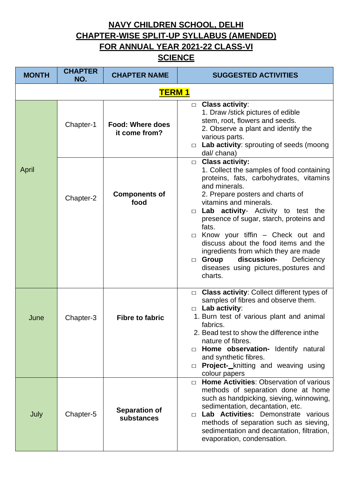**NAVY CHILDREN SCHOOL, DELHI CHAPTER-WISE SPLIT-UP SYLLABUS (AMENDED) FOR ANNUAL YEAR 2021-22 CLASS-VI**

## **SCIENCE**

| <b>MONTH</b> | <b>CHAPTER</b><br>NO. | <b>CHAPTER NAME</b>                      | <b>SUGGESTED ACTIVITIES</b>                                                                                                                                                                                                                                                                                                                                                                                                                                                                                                   |
|--------------|-----------------------|------------------------------------------|-------------------------------------------------------------------------------------------------------------------------------------------------------------------------------------------------------------------------------------------------------------------------------------------------------------------------------------------------------------------------------------------------------------------------------------------------------------------------------------------------------------------------------|
|              |                       | <b>TERM1</b>                             |                                                                                                                                                                                                                                                                                                                                                                                                                                                                                                                               |
|              | Chapter-1             | <b>Food: Where does</b><br>it come from? | $\Box$ Class activity:<br>1. Draw /stick pictures of edible<br>stem, root, flowers and seeds.<br>2. Observe a plant and identify the<br>various parts.<br>Lab activity: sprouting of seeds (moong<br>$\Box$<br>dal/ chana)                                                                                                                                                                                                                                                                                                    |
| April        | Chapter-2             | <b>Components of</b><br>food             | $\Box$ Class activity:<br>1. Collect the samples of food containing<br>proteins, fats, carbohydrates, vitamins<br>and minerals.<br>2. Prepare posters and charts of<br>vitamins and minerals.<br>$\Box$ Lab activity- Activity to test the<br>presence of sugar, starch, proteins and<br>fats.<br>$\Box$ Know your tiffin – Check out and<br>discuss about the food items and the<br>ingredients from which they are made<br>discussion-<br>Group<br>Deficiency<br>$\Box$<br>diseases using pictures, postures and<br>charts. |
| June         | Chapter-3             | <b>Fibre to fabric</b>                   | □ Class activity: Collect different types of<br>samples of fibres and observe them.<br>$\Box$ Lab activity:<br>1. Burn test of various plant and animal<br>fabrics.<br>2. Bead test to show the difference inthe<br>nature of fibres.<br>$\Box$ Home observation- Identify natural<br>and synthetic fibres.<br>Project-_knitting and weaving using<br>$\Box$<br>colour papers                                                                                                                                                 |
| July         | Chapter-5             | <b>Separation of</b><br>substances       | Home Activities: Observation of various<br>$\Box$<br>methods of separation done at home<br>such as handpicking, sieving, winnowing,<br>sedimentation, decantation, etc.<br>Lab Activities: Demonstrate various<br>$\Box$<br>methods of separation such as sieving,<br>sedimentation and decantation, filtration,<br>evaporation, condensation.                                                                                                                                                                                |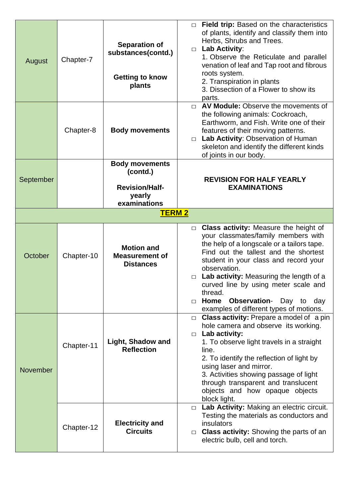| August          | Chapter-7  | <b>Separation of</b><br>substances(contd.)<br><b>Getting to know</b><br>plants       | $\Box$ Field trip: Based on the characteristics<br>of plants, identify and classify them into<br>Herbs, Shrubs and Trees.<br><b>Lab Activity:</b><br>$\Box$<br>1. Observe the Reticulate and parallel<br>venation of leaf and Tap root and fibrous<br>roots system.<br>2. Transpiration in plants<br>3. Dissection of a Flower to show its<br>parts.                                                                                       |
|-----------------|------------|--------------------------------------------------------------------------------------|--------------------------------------------------------------------------------------------------------------------------------------------------------------------------------------------------------------------------------------------------------------------------------------------------------------------------------------------------------------------------------------------------------------------------------------------|
|                 | Chapter-8  | <b>Body movements</b>                                                                | $\Box$ AV Module: Observe the movements of<br>the following animals: Cockroach,<br>Earthworm, and Fish. Write one of their<br>features of their moving patterns.<br>Lab Activity: Observation of Human<br>$\Box$<br>skeleton and identify the different kinds<br>of joints in our body.                                                                                                                                                    |
| September       |            | <b>Body movements</b><br>(contd.)<br><b>Revision/Half-</b><br>yearly<br>examinations | <b>REVISION FOR HALF YEARLY</b><br><b>EXAMINATIONS</b>                                                                                                                                                                                                                                                                                                                                                                                     |
|                 |            | <b>TERM 2</b>                                                                        |                                                                                                                                                                                                                                                                                                                                                                                                                                            |
| October         | Chapter-10 | <b>Motion and</b><br><b>Measurement of</b><br><b>Distances</b>                       | <b>Class activity:</b> Measure the height of<br>$\Box$<br>your classmates/family members with<br>the help of a longscale or a tailors tape.<br>Find out the tallest and the shortest<br>student in your class and record your<br>observation.<br>$\Box$ Lab activity: Measuring the length of a<br>curved line by using meter scale and<br>thread.<br>Observation- Day to day<br>Home<br>$\Box$<br>examples of different types of motions. |
| <b>November</b> | Chapter-11 | <b>Light, Shadow and</b><br><b>Reflection</b>                                        | Class activity: Prepare a model of a pin<br>$\Box$<br>hole camera and observe its working.<br>Lab activity:<br>$\Box$<br>1. To observe light travels in a straight<br>line.<br>2. To identify the reflection of light by<br>using laser and mirror.<br>3. Activities showing passage of light<br>through transparent and translucent<br>objects and how opaque objects<br>block light.                                                     |
|                 | Chapter-12 | <b>Electricity and</b><br><b>Circuits</b>                                            | □ Lab Activity: Making an electric circuit.<br>Testing the materials as conductors and<br>insulators<br><b>Class activity:</b> Showing the parts of an<br>$\Box$<br>electric bulb, cell and torch.                                                                                                                                                                                                                                         |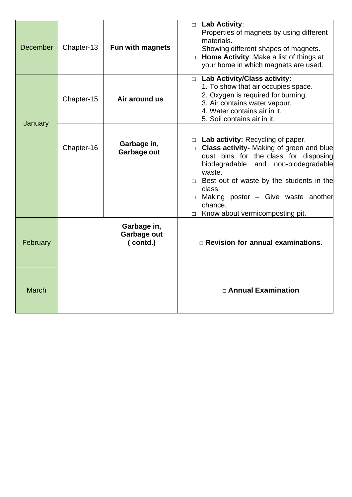| <b>December</b> | Chapter-13 | Fun with magnets                       | $\Box$ Lab Activity:<br>Properties of magnets by using different<br>materials.<br>Showing different shapes of magnets.<br>Home Activity: Make a list of things at<br>$\Box$<br>your home in which magnets are used.                                                                                                                              |
|-----------------|------------|----------------------------------------|--------------------------------------------------------------------------------------------------------------------------------------------------------------------------------------------------------------------------------------------------------------------------------------------------------------------------------------------------|
|                 | Chapter-15 | Air around us                          | $\Box$ Lab Activity/Class activity:<br>1. To show that air occupies space.<br>2. Oxygen is required for burning.<br>3. Air contains water vapour.<br>4. Water contains air in it.<br>5. Soil contains air in it.                                                                                                                                 |
| January         | Chapter-16 | Garbage in,<br>Garbage out             | $\Box$ Lab activity: Recycling of paper.<br>$\Box$ Class activity- Making of green and blue<br>dust bins for the class for disposing<br>and non-biodegradable<br>biodegradable<br>waste.<br>$\Box$ Best out of waste by the students in the<br>class.<br>$\Box$ Making poster - Give waste another<br>chance.<br>Know about vermicomposting pit. |
| February        |            | Garbage in,<br>Garbage out<br>(contd.) | $\Box$ Revision for annual examinations.                                                                                                                                                                                                                                                                                                         |
| <b>March</b>    |            |                                        | □ Annual Examination                                                                                                                                                                                                                                                                                                                             |